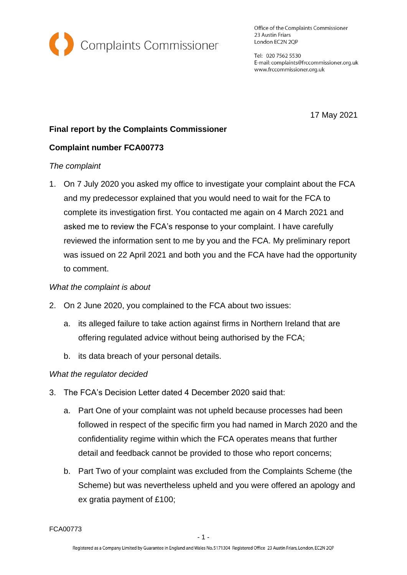

Office of the Complaints Commissioner 23 Austin Friars London EC2N 2QP

Tel: 020 7562 5530 E-mail: complaints@frccommissioner.org.uk www.frccommissioner.org.uk

17 May 2021

# **Final report by the Complaints Commissioner**

# **Complaint number FCA00773**

### *The complaint*

1. On 7 July 2020 you asked my office to investigate your complaint about the FCA and my predecessor explained that you would need to wait for the FCA to complete its investigation first. You contacted me again on 4 March 2021 and asked me to review the FCA's response to your complaint. I have carefully reviewed the information sent to me by you and the FCA. My preliminary report was issued on 22 April 2021 and both you and the FCA have had the opportunity to comment.

#### *What the complaint is about*

- 2. On 2 June 2020, you complained to the FCA about two issues:
	- a. its alleged failure to take action against firms in Northern Ireland that are offering regulated advice without being authorised by the FCA;
	- b. its data breach of your personal details.

# *What the regulator decided*

- 3. The FCA's Decision Letter dated 4 December 2020 said that:
	- a. Part One of your complaint was not upheld because processes had been followed in respect of the specific firm you had named in March 2020 and the confidentiality regime within which the FCA operates means that further detail and feedback cannot be provided to those who report concerns;
	- b. Part Two of your complaint was excluded from the Complaints Scheme (the Scheme) but was nevertheless upheld and you were offered an apology and ex gratia payment of £100;

FCA00773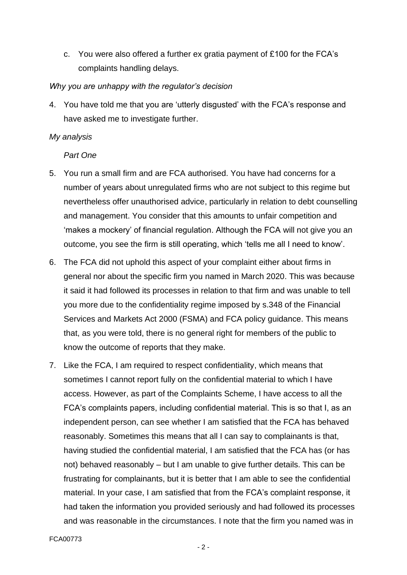c. You were also offered a further ex gratia payment of £100 for the FCA's complaints handling delays.

### *Why you are unhappy with the regulator's decision*

4. You have told me that you are 'utterly disgusted' with the FCA's response and have asked me to investigate further.

#### *My analysis*

*Part One*

- 5. You run a small firm and are FCA authorised. You have had concerns for a number of years about unregulated firms who are not subject to this regime but nevertheless offer unauthorised advice, particularly in relation to debt counselling and management. You consider that this amounts to unfair competition and 'makes a mockery' of financial regulation. Although the FCA will not give you an outcome, you see the firm is still operating, which 'tells me all I need to know'.
- 6. The FCA did not uphold this aspect of your complaint either about firms in general nor about the specific firm you named in March 2020. This was because it said it had followed its processes in relation to that firm and was unable to tell you more due to the confidentiality regime imposed by s.348 of the Financial Services and Markets Act 2000 (FSMA) and FCA policy guidance. This means that, as you were told, there is no general right for members of the public to know the outcome of reports that they make.
- 7. Like the FCA, I am required to respect confidentiality, which means that sometimes I cannot report fully on the confidential material to which I have access. However, as part of the Complaints Scheme, I have access to all the FCA's complaints papers, including confidential material. This is so that I, as an independent person, can see whether I am satisfied that the FCA has behaved reasonably. Sometimes this means that all I can say to complainants is that, having studied the confidential material, I am satisfied that the FCA has (or has not) behaved reasonably – but I am unable to give further details. This can be frustrating for complainants, but it is better that I am able to see the confidential material. In your case, I am satisfied that from the FCA's complaint response, it had taken the information you provided seriously and had followed its processes and was reasonable in the circumstances. I note that the firm you named was in